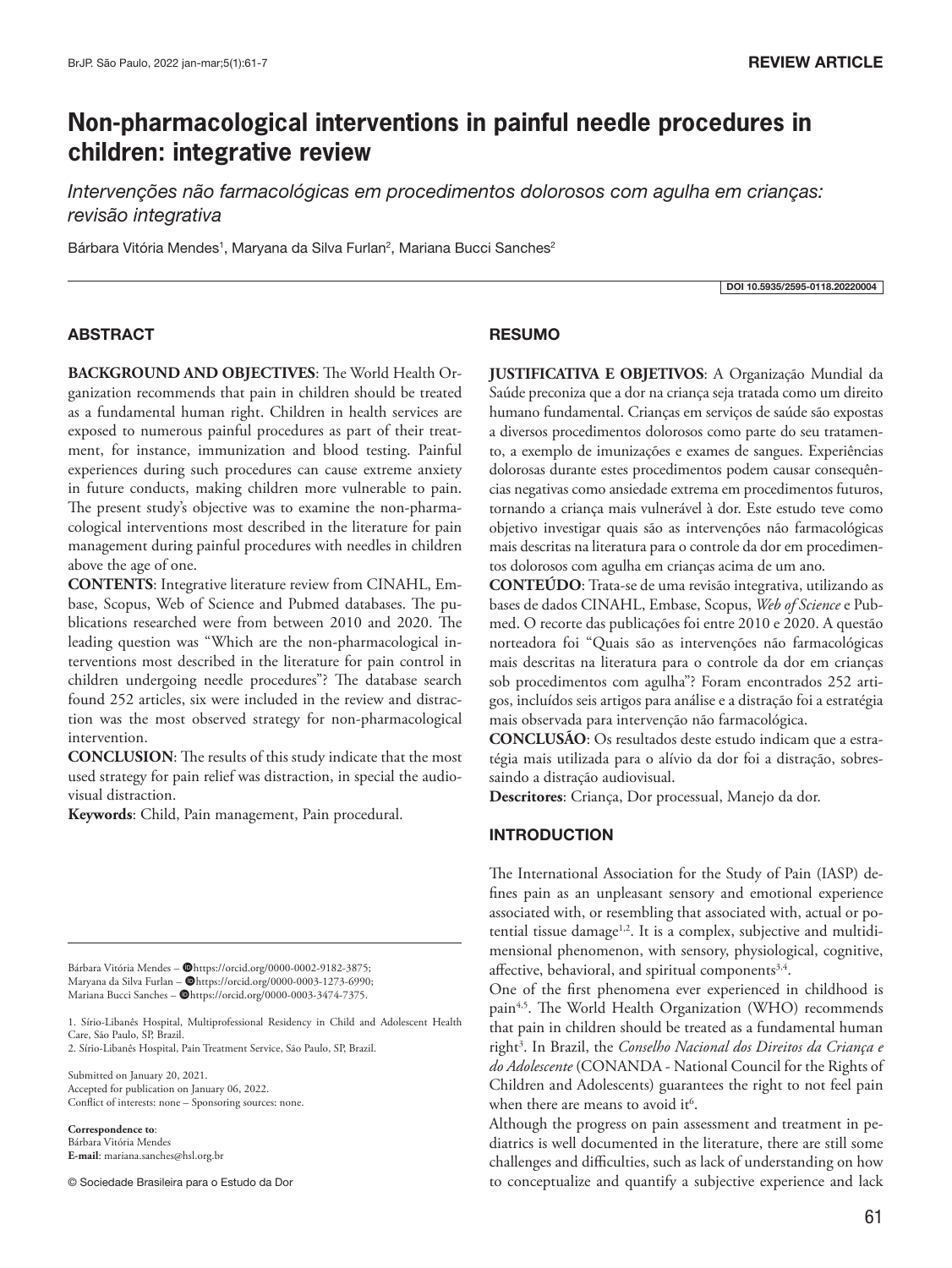# **Non-pharmacological interventions in painful needle procedures in children: integrative review**

*Intervenções não farmacológicas em procedimentos dolorosos com agulha em crianças: revisão integrativa* 

Bárbara Vitória Mendes<sup>1</sup>, Maryana da Silva Furlan<sup>2</sup>, Mariana Bucci Sanches<sup>2</sup>

DOI 10.5935/2595-0118.20220004

## ABSTRACT

**BACKGROUND AND OBJECTIVES**: The World Health Organization recommends that pain in children should be treated as a fundamental human right. Children in health services are exposed to numerous painful procedures as part of their treatment, for instance, immunization and blood testing. Painful experiences during such procedures can cause extreme anxiety in future conducts, making children more vulnerable to pain. The present study's objective was to examine the non-pharmacological interventions most described in the literature for pain management during painful procedures with needles in children above the age of one.

**CONTENTS**: Integrative literature review from CINAHL, Embase, Scopus, Web of Science and Pubmed databases. The publications researched were from between 2010 and 2020. The leading question was "Which are the non-pharmacological interventions most described in the literature for pain control in children undergoing needle procedures"? The database search found 252 articles, six were included in the review and distraction was the most observed strategy for non-pharmacological intervention.

**CONCLUSION**: The results of this study indicate that the most used strategy for pain relief was distraction, in special the audiovisual distraction.

**Keywords**: Child, Pain management, Pain procedural.

Bárbara Vitória Mendes - @https://orcid.org/0000-0002-9182-3875; Maryana da Silva Furlan - @https://orcid.org/0000-0003-1273-6990; Mariana Bucci Sanches – @https://orcid.org/0000-0003-3474-7375.

1. Sírio-Libanês Hospital, Multiprofessional Residency in Child and Adolescent Health Care, São Paulo, SP, Brazil.

2. Sírio-Libanês Hospital, Pain Treatment Service, São Paulo, SP, Brazil.

Submitted on January 20, 2021. Accepted for publication on January 06, 2022. Conflict of interests: none – Sponsoring sources: none.

**Correspondence to**: Bárbara Vitória Mendes **E-mail**: mariana.sanches@hsl.org.br

© Sociedade Brasileira para o Estudo da Dor

## **RESUMO**

**JUSTIFICATIVA E OBJETIVOS**: A Organização Mundial da Saúde preconiza que a dor na criança seja tratada como um direito humano fundamental. Crianças em serviços de saúde são expostas a diversos procedimentos dolorosos como parte do seu tratamento, a exemplo de imunizações e exames de sangues. Experiências dolorosas durante estes procedimentos podem causar consequências negativas como ansiedade extrema em procedimentos futuros, tornando a criança mais vulnerável à dor. Este estudo teve como objetivo investigar quais são as intervenções não farmacológicas mais descritas na literatura para o controle da dor em procedimentos dolorosos com agulha em crianças acima de um ano.

**CONTEÚDO**: Trata-se de uma revisão integrativa, utilizando as bases de dados CINAHL, Embase, Scopus, *Web of Science* e Pubmed. O recorte das publicações foi entre 2010 e 2020. A questão norteadora foi "Quais são as intervenções não farmacológicas mais descritas na literatura para o controle da dor em crianças sob procedimentos com agulha"? Foram encontrados 252 artigos, incluídos seis artigos para análise e a distração foi a estratégia mais observada para intervenção não farmacológica.

**CONCLUSÃO**: Os resultados deste estudo indicam que a estratégia mais utilizada para o alívio da dor foi a distração, sobressaindo a distração audiovisual.

**Descritores**: Criança, Dor processual, Manejo da dor.

## INTRODUCTION

The International Association for the Study of Pain (IASP) defines pain as an unpleasant sensory and emotional experience associated with, or resembling that associated with, actual or potential tissue damage<sup>1,2</sup>. It is a complex, subjective and multidimensional phenomenon, with sensory, physiological, cognitive, affective, behavioral, and spiritual components<sup>3,4</sup>.

One of the first phenomena ever experienced in childhood is pain<sup>4,5</sup>. The World Health Organization (WHO) recommends that pain in children should be treated as a fundamental human right<sup>3</sup>. In Brazil, the *Conselho Nacional dos Direitos da Criança e do Adolescente* (CONANDA - National Council for the Rights of Children and Adolescents) guarantees the right to not feel pain when there are means to avoid it<sup>6</sup>.

Although the progress on pain assessment and treatment in pediatrics is well documented in the literature, there are still some challenges and difficulties, such as lack of understanding on how to conceptualize and quantify a subjective experience and lack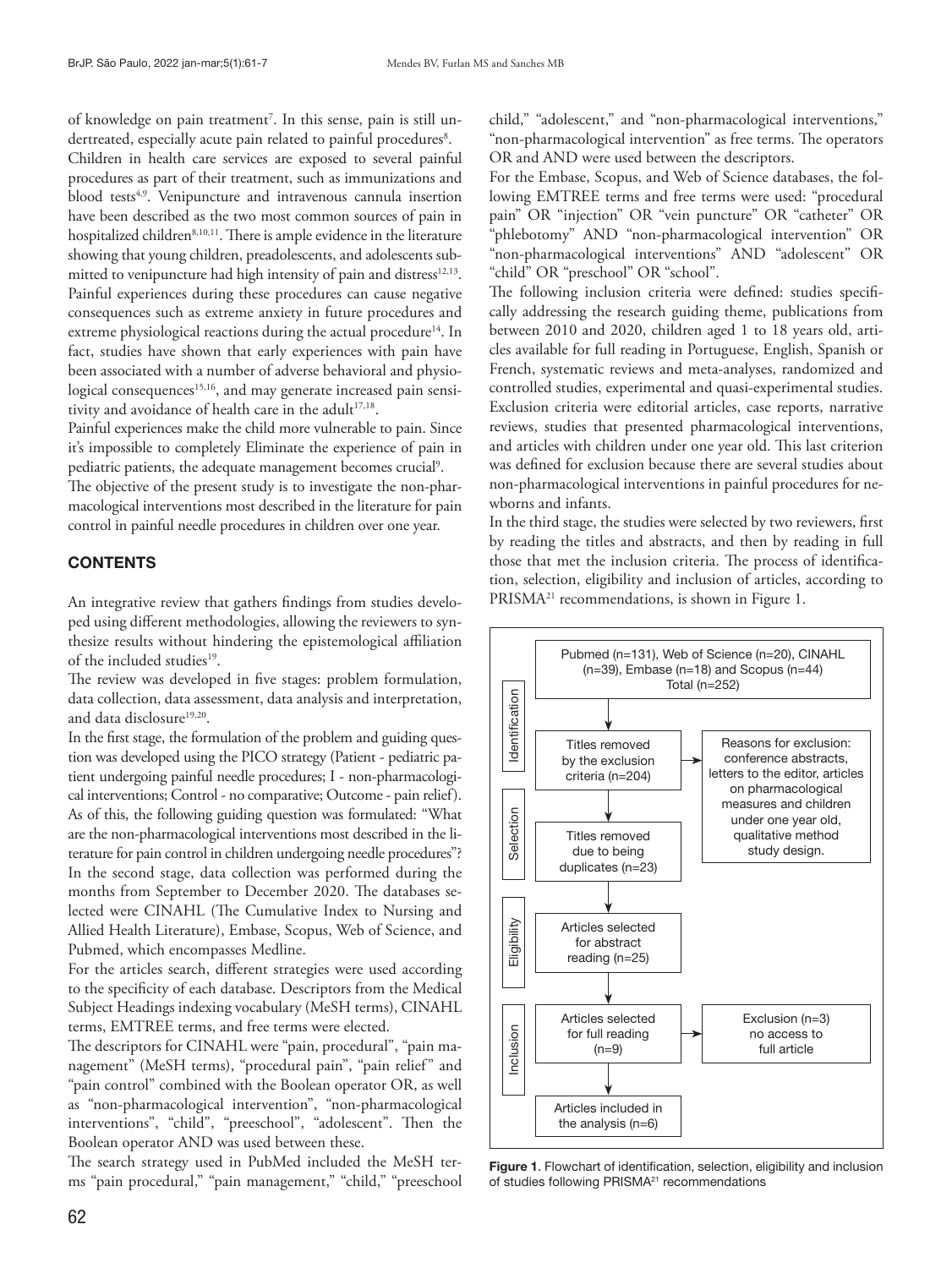of knowledge on pain treatment<sup>7</sup>. In this sense, pain is still undertreated, especially acute pain related to painful procedures<sup>8</sup>.

Children in health care services are exposed to several painful procedures as part of their treatment, such as immunizations and blood tests<sup>4,9</sup>. Venipuncture and intravenous cannula insertion have been described as the two most common sources of pain in hospitalized children<sup>8,10,11</sup>. There is ample evidence in the literature showing that young children, preadolescents, and adolescents submitted to venipuncture had high intensity of pain and distress<sup>12,13</sup>. Painful experiences during these procedures can cause negative consequences such as extreme anxiety in future procedures and extreme physiological reactions during the actual procedure<sup>14</sup>. In fact, studies have shown that early experiences with pain have been associated with a number of adverse behavioral and physiological consequences<sup>15,16</sup>, and may generate increased pain sensitivity and avoidance of health care in the adult<sup>17,18</sup>.

Painful experiences make the child more vulnerable to pain. Since it's impossible to completely Eliminate the experience of pain in pediatric patients, the adequate management becomes crucial<sup>9</sup>.

The objective of the present study is to investigate the non-pharmacological interventions most described in the literature for pain control in painful needle procedures in children over one year.

# **CONTENTS**

An integrative review that gathers findings from studies developed using different methodologies, allowing the reviewers to synthesize results without hindering the epistemological affiliation of the included studies<sup>19</sup>.

The review was developed in five stages: problem formulation, data collection, data assessment, data analysis and interpretation, and data disclosure<sup>19,20</sup>.

In the first stage, the formulation of the problem and guiding question was developed using the PICO strategy (Patient - pediatric patient undergoing painful needle procedures; I - non-pharmacological interventions; Control - no comparative; Outcome - pain relief). As of this, the following guiding question was formulated: "What are the non-pharmacological interventions most described in the literature for pain control in children undergoing needle procedures"? In the second stage, data collection was performed during the months from September to December 2020. The databases selected were CINAHL (The Cumulative Index to Nursing and Allied Health Literature), Embase, Scopus, Web of Science, and Pubmed, which encompasses Medline.

For the articles search, different strategies were used according to the specificity of each database. Descriptors from the Medical Subject Headings indexing vocabulary (MeSH terms), CINAHL terms, EMTREE terms, and free terms were elected.

The descriptors for CINAHL were "pain, procedural", "pain management" (MeSH terms), "procedural pain", "pain relief" and "pain control" combined with the Boolean operator OR, as well as "non-pharmacological intervention", "non-pharmacological interventions", "child", "preeschool", "adolescent". Then the Boolean operator AND was used between these.

The search strategy used in PubMed included the MeSH terms "pain procedural," "pain management," "child," "preeschool child," "adolescent," and "non-pharmacological interventions," "non-pharmacological intervention" as free terms. The operators OR and AND were used between the descriptors.

For the Embase, Scopus, and Web of Science databases, the following EMTREE terms and free terms were used: "procedural pain" OR "injection" OR "vein puncture" OR "catheter" OR "phlebotomy" AND "non-pharmacological intervention" OR "non-pharmacological interventions" AND "adolescent" OR "child" OR "preschool" OR "school".

The following inclusion criteria were defined: studies specifically addressing the research guiding theme, publications from between 2010 and 2020, children aged 1 to 18 years old, articles available for full reading in Portuguese, English, Spanish or French, systematic reviews and meta-analyses, randomized and controlled studies, experimental and quasi-experimental studies. Exclusion criteria were editorial articles, case reports, narrative reviews, studies that presented pharmacological interventions, and articles with children under one year old. This last criterion was defined for exclusion because there are several studies about non-pharmacological interventions in painful procedures for newborns and infants.

In the third stage, the studies were selected by two reviewers, first by reading the titles and abstracts, and then by reading in full those that met the inclusion criteria. The process of identification, selection, eligibility and inclusion of articles, according to PRISMA<sup>21</sup> recommendations, is shown in Figure 1.



Figure 1. Flowchart of identification, selection, eligibility and inclusion of studies following PRISMA<sup>21</sup> recommendations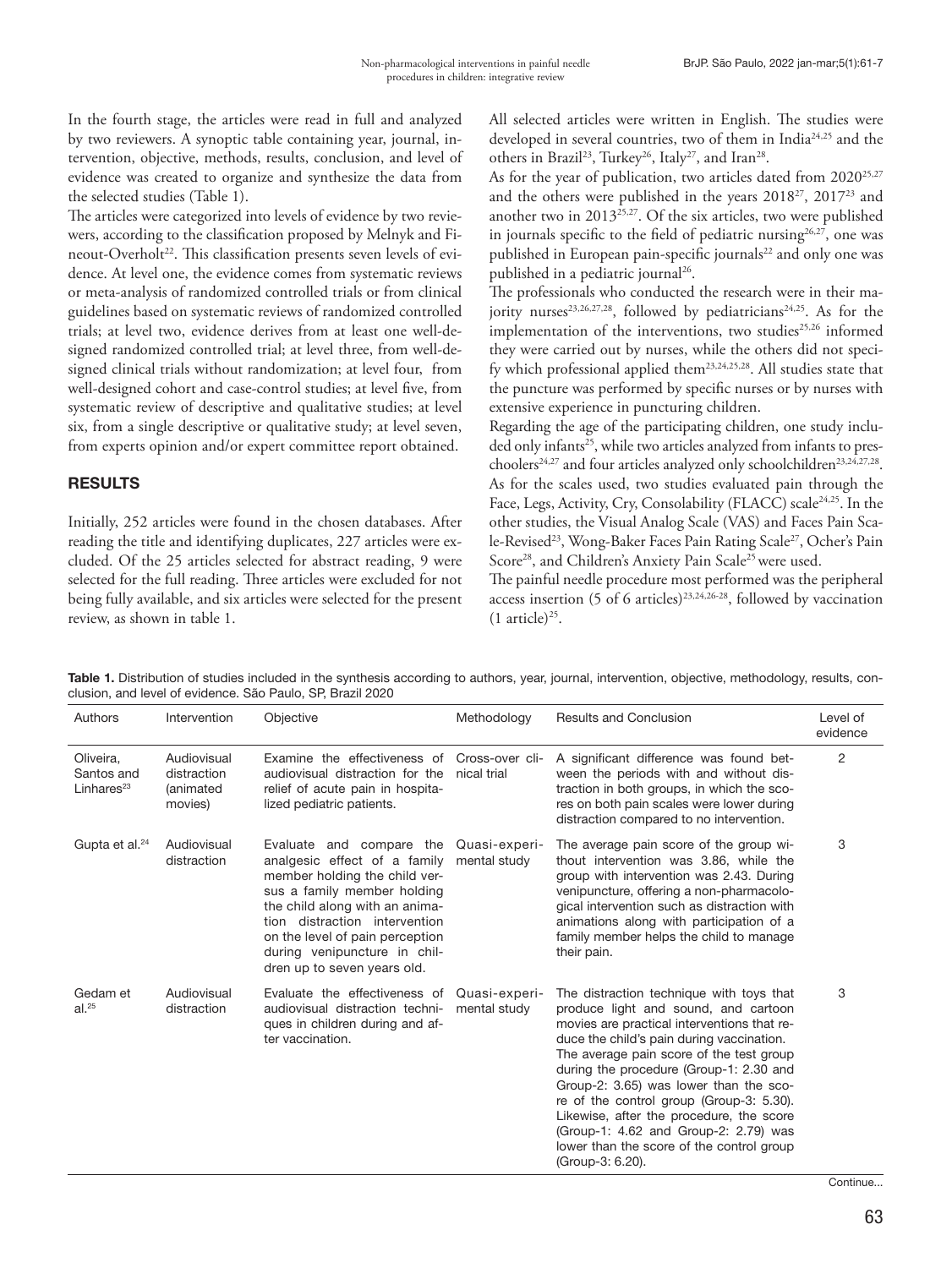In the fourth stage, the articles were read in full and analyzed by two reviewers. A synoptic table containing year, journal, intervention, objective, methods, results, conclusion, and level of evidence was created to organize and synthesize the data from the selected studies (Table 1).

The articles were categorized into levels of evidence by two reviewers, according to the classification proposed by Melnyk and Fineout-Overholt<sup>22</sup>. This classification presents seven levels of evidence. At level one, the evidence comes from systematic reviews or meta-analysis of randomized controlled trials or from clinical guidelines based on systematic reviews of randomized controlled trials; at level two, evidence derives from at least one well-designed randomized controlled trial; at level three, from well-designed clinical trials without randomization; at level four, from well-designed cohort and case-control studies; at level five, from systematic review of descriptive and qualitative studies; at level six, from a single descriptive or qualitative study; at level seven, from experts opinion and/or expert committee report obtained.

# RESULTS

Initially, 252 articles were found in the chosen databases. After reading the title and identifying duplicates, 227 articles were excluded. Of the 25 articles selected for abstract reading, 9 were selected for the full reading. Three articles were excluded for not being fully available, and six articles were selected for the present review, as shown in table 1.

All selected articles were written in English. The studies were developed in several countries, two of them in India<sup>24,25</sup> and the others in Brazil<sup>23</sup>, Turkey<sup>26</sup>, Italy<sup>27</sup>, and Iran<sup>28</sup>.

As for the year of publication, two articles dated from  $2020^{25,27}$ and the others were published in the years 201827, 201723 and another two in 201325,27. Of the six articles, two were published in journals specific to the field of pediatric nursing<sup>26,27</sup>, one was published in European pain-specific journals<sup>22</sup> and only one was published in a pediatric journal<sup>26</sup>.

The professionals who conducted the research were in their majority nurses<sup>23,26,27,28</sup>, followed by pediatricians<sup>24,25</sup>. As for the implementation of the interventions, two studies<sup>25,26</sup> informed they were carried out by nurses, while the others did not specify which professional applied them23,24,25,28. All studies state that the puncture was performed by specific nurses or by nurses with extensive experience in puncturing children.

Regarding the age of the participating children, one study included only infants<sup>25</sup>, while two articles analyzed from infants to preschoolers<sup>24,27</sup> and four articles analyzed only schoolchildren<sup>23,24,27,28</sup>. As for the scales used, two studies evaluated pain through the Face, Legs, Activity, Cry, Consolability (FLACC) scale<sup>24,25</sup>. In the other studies, the Visual Analog Scale (VAS) and Faces Pain Scale-Revised<sup>23</sup>, Wong-Baker Faces Pain Rating Scale<sup>27</sup>, Ocher's Pain Score<sup>28</sup>, and Children's Anxiety Pain Scale<sup>25</sup> were used.

The painful needle procedure most performed was the peripheral access insertion (5 of 6 articles)<sup>23,24,26-28</sup>, followed by vaccination  $(1 \text{ article})^{25}$ .

Table 1. Distribution of studies included in the synthesis according to authors, year, journal, intervention, objective, methodology, results, conclusion, and level of evidence. São Paulo, SP, Brazil 2020

| Authors                                  | Intervention                                       | Objective                                                                                                                                                                                                                                                                                     | Methodology                    | <b>Results and Conclusion</b>                                                                                                                                                                                                                                                                                                                                                                                                                                                                                   | Level of<br>evidence |
|------------------------------------------|----------------------------------------------------|-----------------------------------------------------------------------------------------------------------------------------------------------------------------------------------------------------------------------------------------------------------------------------------------------|--------------------------------|-----------------------------------------------------------------------------------------------------------------------------------------------------------------------------------------------------------------------------------------------------------------------------------------------------------------------------------------------------------------------------------------------------------------------------------------------------------------------------------------------------------------|----------------------|
| Oliveira,<br>Santos and<br>Linhares $23$ | Audiovisual<br>distraction<br>(animated<br>movies) | Examine the effectiveness of<br>audiovisual distraction for the<br>relief of acute pain in hospita-<br>lized pediatric patients.                                                                                                                                                              | Cross-over cli-<br>nical trial | A significant difference was found bet-<br>ween the periods with and without dis-<br>traction in both groups, in which the sco-<br>res on both pain scales were lower during<br>distraction compared to no intervention.                                                                                                                                                                                                                                                                                        | 2                    |
| Gupta et al. <sup>24</sup>               | Audiovisual<br>distraction                         | Evaluate and compare the<br>analgesic effect of a family<br>member holding the child ver-<br>sus a family member holding<br>the child along with an anima-<br>tion distraction intervention<br>on the level of pain perception<br>during venipuncture in chil-<br>dren up to seven years old. | Quasi-experi-<br>mental study  | The average pain score of the group wi-<br>thout intervention was 3.86, while the<br>group with intervention was 2.43. During<br>venipuncture, offering a non-pharmacolo-<br>gical intervention such as distraction with<br>animations along with participation of a<br>family member helps the child to manage<br>their pain.                                                                                                                                                                                  | 3                    |
| Gedam et<br>al. <sup>25</sup>            | Audiovisual<br>distraction                         | Evaluate the effectiveness of<br>audiovisual distraction techni-<br>ques in children during and af-<br>ter vaccination.                                                                                                                                                                       | Quasi-experi-<br>mental study  | The distraction technique with toys that<br>produce light and sound, and cartoon<br>movies are practical interventions that re-<br>duce the child's pain during vaccination.<br>The average pain score of the test group<br>during the procedure (Group-1: 2.30 and<br>Group-2: 3.65) was lower than the sco-<br>re of the control group (Group-3: 5.30).<br>Likewise, after the procedure, the score<br>(Group-1: 4.62 and Group-2: 2.79) was<br>lower than the score of the control group<br>(Group-3: 6.20). | 3                    |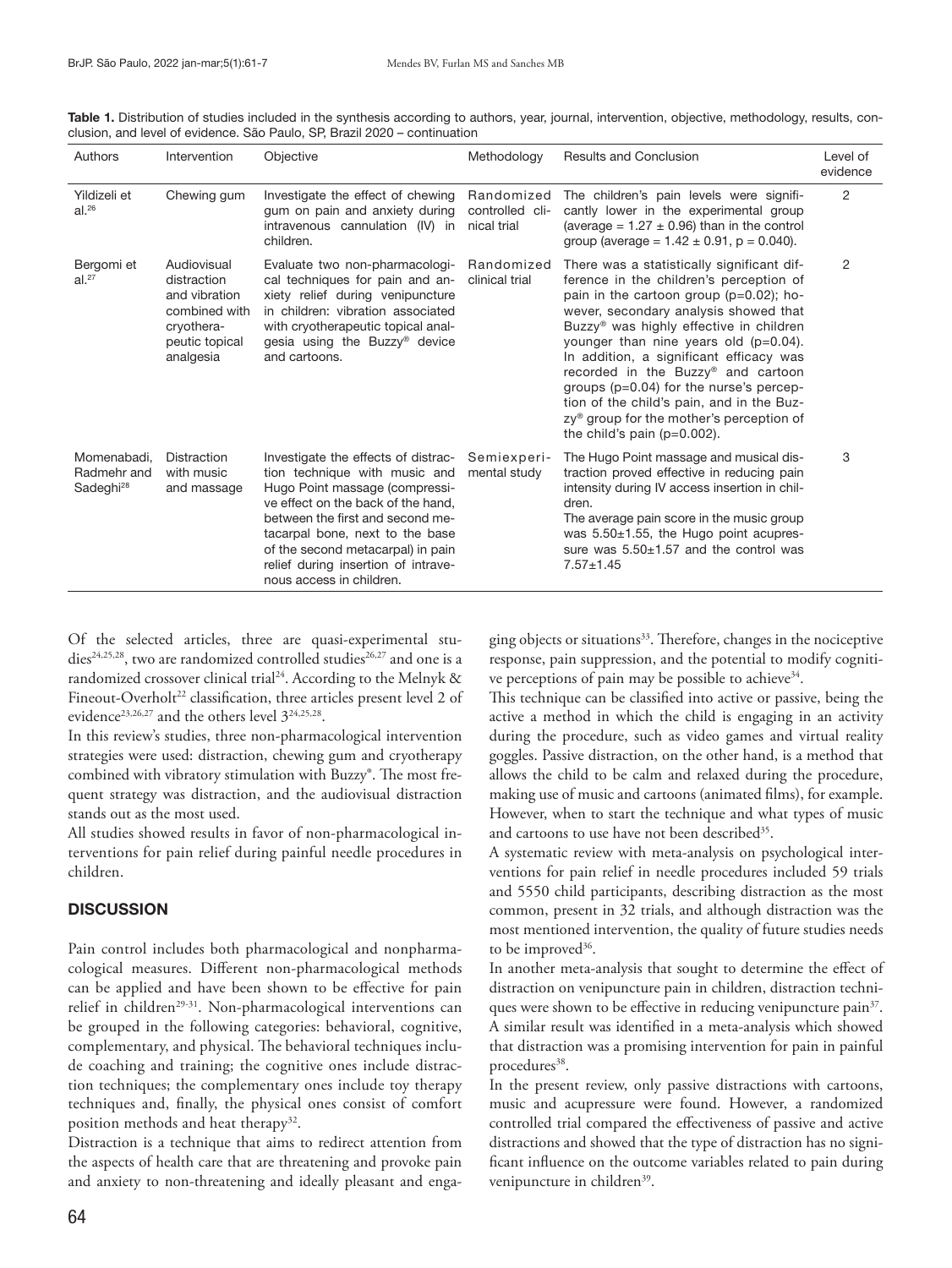| Authors                                             | Intervention                                                                                              | Objective                                                                                                                                                                                                                                                                                                                   | Methodology                                  | <b>Results and Conclusion</b>                                                                                                                                                                                                                                                                                                                                                                                                                                                                                                                    | Level of<br>evidence |
|-----------------------------------------------------|-----------------------------------------------------------------------------------------------------------|-----------------------------------------------------------------------------------------------------------------------------------------------------------------------------------------------------------------------------------------------------------------------------------------------------------------------------|----------------------------------------------|--------------------------------------------------------------------------------------------------------------------------------------------------------------------------------------------------------------------------------------------------------------------------------------------------------------------------------------------------------------------------------------------------------------------------------------------------------------------------------------------------------------------------------------------------|----------------------|
| Yildizeli et<br>al. <sup>26</sup>                   | Chewing gum                                                                                               | Investigate the effect of chewing<br>gum on pain and anxiety during<br>intravenous cannulation (IV) in<br>children.                                                                                                                                                                                                         | Randomized<br>controlled cli-<br>nical trial | The children's pain levels were signifi-<br>cantly lower in the experimental group<br>(average = $1.27 \pm 0.96$ ) than in the control<br>group (average = $1.42 \pm 0.91$ , p = 0.040).                                                                                                                                                                                                                                                                                                                                                         | 2                    |
| Bergomi et<br>al. <sup>27</sup>                     | Audiovisual<br>distraction<br>and vibration<br>combined with<br>cryothera-<br>peutic topical<br>analgesia | Evaluate two non-pharmacologi-<br>cal techniques for pain and an-<br>xiety relief during venipuncture<br>in children: vibration associated<br>with cryotherapeutic topical anal-<br>gesia using the Buzzy® device<br>and cartoons.                                                                                          | Randomized<br>clinical trial                 | There was a statistically significant dif-<br>ference in the children's perception of<br>pain in the cartoon group ( $p=0.02$ ); ho-<br>wever, secondary analysis showed that<br>Buzzy <sup>®</sup> was highly effective in children<br>younger than nine years old (p=0.04).<br>In addition, a significant efficacy was<br>recorded in the Buzzy® and cartoon<br>groups (p=0.04) for the nurse's percep-<br>tion of the child's pain, and in the Buz-<br>zy <sup>®</sup> group for the mother's perception of<br>the child's pain $(p=0.002)$ . | 2                    |
| Momenabadi.<br>Radmehr and<br>Sadeghi <sup>28</sup> | <b>Distraction</b><br>with music<br>and massage                                                           | Investigate the effects of distrac-<br>tion technique with music and<br>Hugo Point massage (compressi-<br>ye effect on the back of the hand.<br>between the first and second me-<br>tacarpal bone, next to the base<br>of the second metacarpal) in pain<br>relief during insertion of intrave-<br>nous access in children. | Semiexperi-<br>mental study                  | The Hugo Point massage and musical dis-<br>traction proved effective in reducing pain<br>intensity during IV access insertion in chil-<br>dren.<br>The average pain score in the music group<br>was $5.50\pm1.55$ , the Hugo point acupres-<br>sure was $5.50\pm1.57$ and the control was<br>$7.57 + 1.45$                                                                                                                                                                                                                                       | 3                    |

Table 1. Distribution of studies included in the synthesis according to authors, year, journal, intervention, objective, methodology, results, conclusion, and level of evidence. São Paulo, SP, Brazil 2020 – continuation

Of the selected articles, three are quasi-experimental studies<sup>24,25,28</sup>, two are randomized controlled studies<sup>26,27</sup> and one is a randomized crossover clinical trial<sup>24</sup>. According to the Melnyk & Fineout-Overholt<sup>22</sup> classification, three articles present level 2 of evidence<sup>23,26,27</sup> and the others level  $3^{24,25,28}$ .

In this review's studies, three non-pharmacological intervention strategies were used: distraction, chewing gum and cryotherapy combined with vibratory stimulation with Buzzy®. The most frequent strategy was distraction, and the audiovisual distraction stands out as the most used.

All studies showed results in favor of non-pharmacological interventions for pain relief during painful needle procedures in children.

### **DISCUSSION**

Pain control includes both pharmacological and nonpharmacological measures. Different non-pharmacological methods can be applied and have been shown to be effective for pain relief in children<sup>29-31</sup>. Non-pharmacological interventions can be grouped in the following categories: behavioral, cognitive, complementary, and physical. The behavioral techniques include coaching and training; the cognitive ones include distraction techniques; the complementary ones include toy therapy techniques and, finally, the physical ones consist of comfort position methods and heat therapy<sup>32</sup>.

Distraction is a technique that aims to redirect attention from the aspects of health care that are threatening and provoke pain and anxiety to non-threatening and ideally pleasant and engaging objects or situations<sup>33</sup>. Therefore, changes in the nociceptive response, pain suppression, and the potential to modify cognitive perceptions of pain may be possible to achieve<sup>34</sup>.

This technique can be classified into active or passive, being the active a method in which the child is engaging in an activity during the procedure, such as video games and virtual reality goggles. Passive distraction, on the other hand, is a method that allows the child to be calm and relaxed during the procedure, making use of music and cartoons (animated films), for example. However, when to start the technique and what types of music and cartoons to use have not been described<sup>35</sup>.

A systematic review with meta-analysis on psychological interventions for pain relief in needle procedures included 59 trials and 5550 child participants, describing distraction as the most common, present in 32 trials, and although distraction was the most mentioned intervention, the quality of future studies needs to be improved<sup>36</sup>.

In another meta-analysis that sought to determine the effect of distraction on venipuncture pain in children, distraction techniques were shown to be effective in reducing venipuncture pain<sup>37</sup>. A similar result was identified in a meta-analysis which showed that distraction was a promising intervention for pain in painful procedures<sup>38</sup>.

In the present review, only passive distractions with cartoons, music and acupressure were found. However, a randomized controlled trial compared the effectiveness of passive and active distractions and showed that the type of distraction has no significant influence on the outcome variables related to pain during venipuncture in children<sup>39</sup>.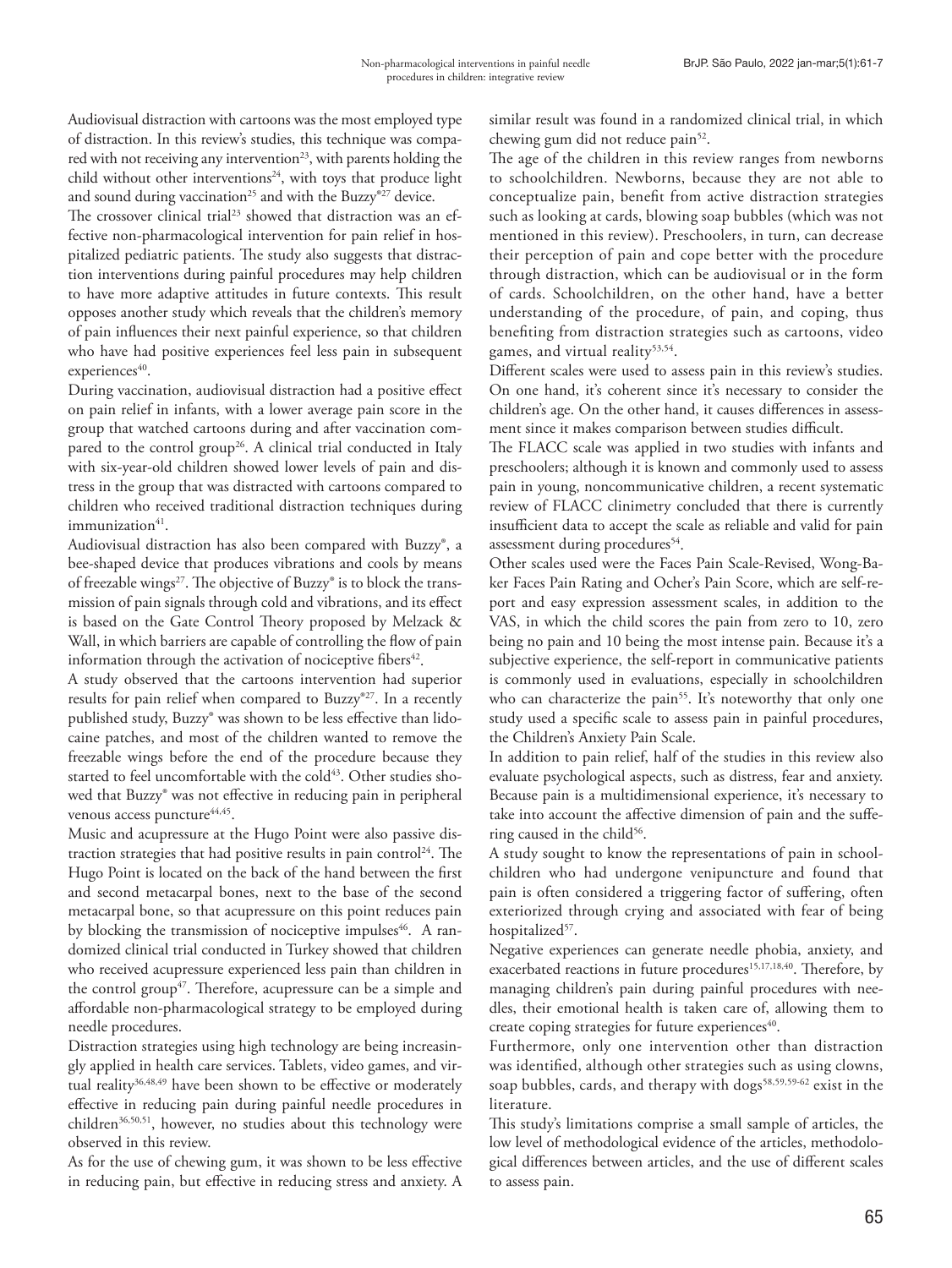Audiovisual distraction with cartoons was the most employed type of distraction. In this review's studies, this technique was compared with not receiving any intervention<sup>23</sup>, with parents holding the child without other interventions<sup>24</sup>, with toys that produce light and sound during vaccination<sup>25</sup> and with the Buzzy®<sup>27</sup> device.

The crossover clinical trial<sup>23</sup> showed that distraction was an effective non-pharmacological intervention for pain relief in hospitalized pediatric patients. The study also suggests that distraction interventions during painful procedures may help children to have more adaptive attitudes in future contexts. This result opposes another study which reveals that the children's memory of pain influences their next painful experience, so that children who have had positive experiences feel less pain in subsequent  $experiences<sup>40</sup>$ .

During vaccination, audiovisual distraction had a positive effect on pain relief in infants, with a lower average pain score in the group that watched cartoons during and after vaccination compared to the control group<sup>26</sup>. A clinical trial conducted in Italy with six-year-old children showed lower levels of pain and distress in the group that was distracted with cartoons compared to children who received traditional distraction techniques during immunization<sup>41</sup>.

Audiovisual distraction has also been compared with Buzzy®, a bee-shaped device that produces vibrations and cools by means of freezable wings<sup>27</sup>. The objective of Buzzy® is to block the transmission of pain signals through cold and vibrations, and its effect is based on the Gate Control Theory proposed by Melzack & Wall, in which barriers are capable of controlling the flow of pain information through the activation of nociceptive fibers<sup>42</sup>.

A study observed that the cartoons intervention had superior results for pain relief when compared to Buzzy®27. In a recently published study, Buzzy® was shown to be less effective than lidocaine patches, and most of the children wanted to remove the freezable wings before the end of the procedure because they started to feel uncomfortable with the cold<sup>43</sup>. Other studies showed that Buzzy® was not effective in reducing pain in peripheral venous access puncture<sup>44,45</sup>.

Music and acupressure at the Hugo Point were also passive distraction strategies that had positive results in pain control<sup>24</sup>. The Hugo Point is located on the back of the hand between the first and second metacarpal bones, next to the base of the second metacarpal bone, so that acupressure on this point reduces pain by blocking the transmission of nociceptive impulses<sup>46</sup>. A randomized clinical trial conducted in Turkey showed that children who received acupressure experienced less pain than children in the control group<sup>47</sup>. Therefore, acupressure can be a simple and affordable non-pharmacological strategy to be employed during needle procedures.

Distraction strategies using high technology are being increasingly applied in health care services. Tablets, video games, and virtual reality<sup>36,48,49</sup> have been shown to be effective or moderately effective in reducing pain during painful needle procedures in children<sup>36,50,51</sup>, however, no studies about this technology were observed in this review.

As for the use of chewing gum, it was shown to be less effective in reducing pain, but effective in reducing stress and anxiety. A similar result was found in a randomized clinical trial, in which chewing gum did not reduce pain<sup>52</sup>.

The age of the children in this review ranges from newborns to schoolchildren. Newborns, because they are not able to conceptualize pain, benefit from active distraction strategies such as looking at cards, blowing soap bubbles (which was not mentioned in this review). Preschoolers, in turn, can decrease their perception of pain and cope better with the procedure through distraction, which can be audiovisual or in the form of cards. Schoolchildren, on the other hand, have a better understanding of the procedure, of pain, and coping, thus benefiting from distraction strategies such as cartoons, video games, and virtual reality<sup>53,54</sup>.

Different scales were used to assess pain in this review's studies. On one hand, it's coherent since it's necessary to consider the children's age. On the other hand, it causes differences in assessment since it makes comparison between studies difficult.

The FLACC scale was applied in two studies with infants and preschoolers; although it is known and commonly used to assess pain in young, noncommunicative children, a recent systematic review of FLACC clinimetry concluded that there is currently insufficient data to accept the scale as reliable and valid for pain assessment during procedures<sup>54</sup>.

Other scales used were the Faces Pain Scale-Revised, Wong-Baker Faces Pain Rating and Ocher's Pain Score, which are self-report and easy expression assessment scales, in addition to the VAS, in which the child scores the pain from zero to 10, zero being no pain and 10 being the most intense pain. Because it's a subjective experience, the self-report in communicative patients is commonly used in evaluations, especially in schoolchildren who can characterize the pain<sup>55</sup>. It's noteworthy that only one study used a specific scale to assess pain in painful procedures, the Children's Anxiety Pain Scale.

In addition to pain relief, half of the studies in this review also evaluate psychological aspects, such as distress, fear and anxiety. Because pain is a multidimensional experience, it's necessary to take into account the affective dimension of pain and the suffering caused in the child<sup>56</sup>.

A study sought to know the representations of pain in schoolchildren who had undergone venipuncture and found that pain is often considered a triggering factor of suffering, often exteriorized through crying and associated with fear of being hospitalized<sup>57</sup>.

Negative experiences can generate needle phobia, anxiety, and exacerbated reactions in future procedures<sup>15,17,18,40</sup>. Therefore, by managing children's pain during painful procedures with needles, their emotional health is taken care of, allowing them to create coping strategies for future experiences<sup>40</sup>.

Furthermore, only one intervention other than distraction was identified, although other strategies such as using clowns, soap bubbles, cards, and therapy with dogs<sup>58,59,59-62</sup> exist in the literature.

This study's limitations comprise a small sample of articles, the low level of methodological evidence of the articles, methodological differences between articles, and the use of different scales to assess pain.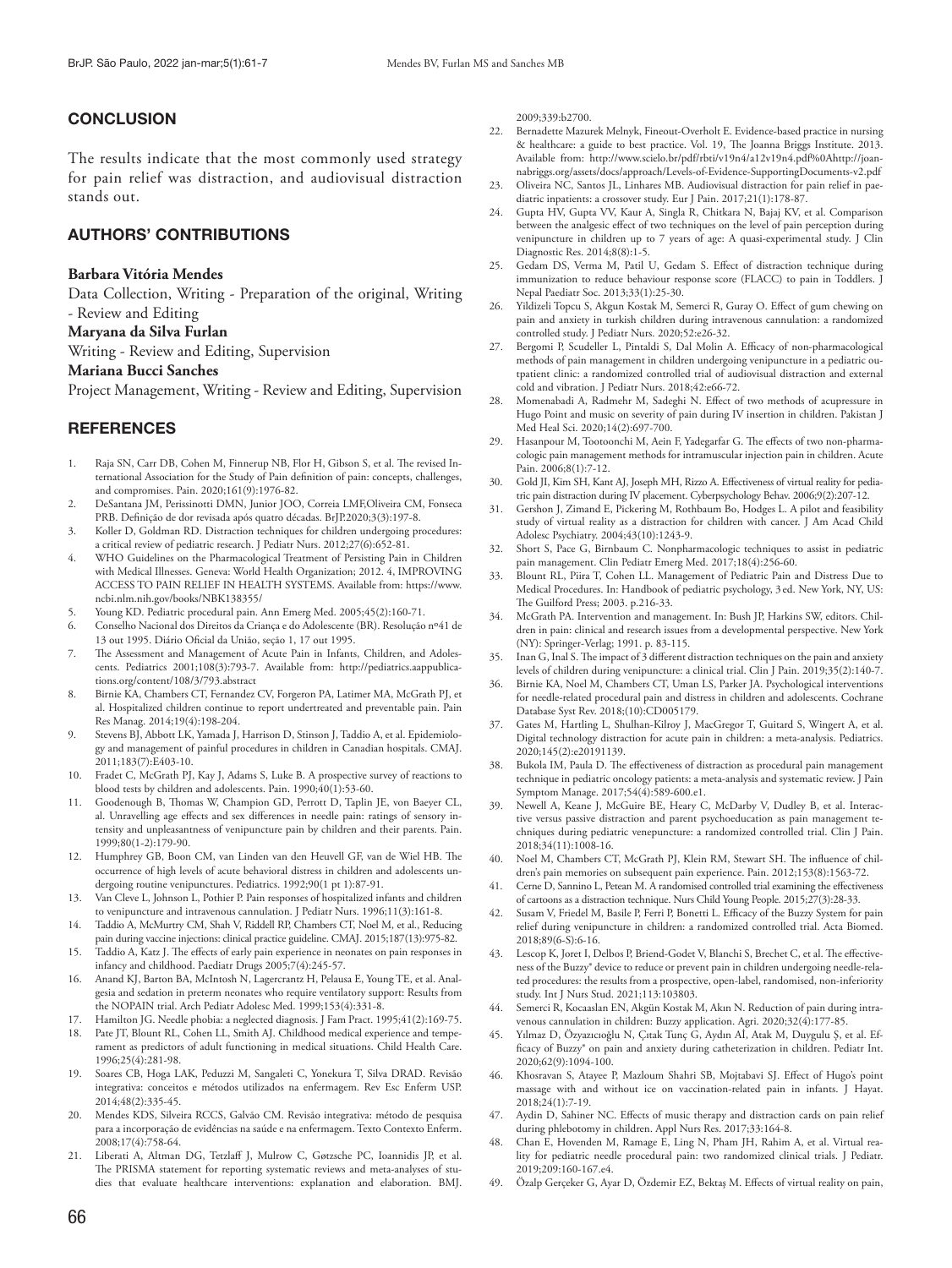## **CONCLUSION**

The results indicate that the most commonly used strategy for pain relief was distraction, and audiovisual distraction stands out.

## AUTHORS' CONTRIBUTIONS

#### **Barbara Vitória Mendes**

Data Collection, Writing - Preparation of the original, Writing - Review and Editing

#### **Maryana da Silva Furlan**

Writing - Review and Editing, Supervision

#### **Mariana Bucci Sanches**

Project Management, Writing - Review and Editing, Supervision

## **REFERENCES**

- 1. Raja SN, Carr DB, Cohen M, Finnerup NB, Flor H, Gibson S, et al. The revised International Association for the Study of Pain definition of pain: concepts, challenges, and compromises. Pain. 2020;161(9):1976-82.
- 2. DeSantana JM, Perissinotti DMN, Junior JOO, Correia LMF,Oliveira CM, Fonseca PRB. Definição de dor revisada após quatro décadas. BrJP.2020;3(3):197-8.
- 3. Koller D, Goldman RD. Distraction techniques for children undergoing procedures: a critical review of pediatric research. J Pediatr Nurs. 2012;27(6):652-81.
- 4. WHO Guidelines on the Pharmacological Treatment of Persisting Pain in Children with Medical Illnesses. Geneva: World Health Organization; 2012. 4, IMPROVING ACCESS TO PAIN RELIEF IN HEALTH SYSTEMS. Available from: https://www. ncbi.nlm.nih.gov/books/NBK138355/
- 5. Young KD. Pediatric procedural pain. Ann Emerg Med. 2005;45(2):160-71.
- 6. Conselho Nacional dos Direitos da Criança e do Adolescente (BR). Resolução nº41 de 13 out 1995. Diário Oficial da União, seção 1, 17 out 1995.
- 7. The Assessment and Management of Acute Pain in Infants, Children, and Adolescents. Pediatrics 2001;108(3):793-7. Available from: http://pediatrics.aappublications.org/content/108/3/793.abstract
- 8. Birnie KA, Chambers CT, Fernandez CV, Forgeron PA, Latimer MA, McGrath PJ, et al. Hospitalized children continue to report undertreated and preventable pain. Pain Res Manag. 2014;19(4):198-204.
- Stevens BJ, Abbott LK, Yamada J, Harrison D, Stinson J, Taddio A, et al. Epidemiology and management of painful procedures in children in Canadian hospitals. CMAJ. 2011;183(7):E403-10.
- 10. Fradet C, McGrath PJ, Kay J, Adams S, Luke B. A prospective survey of reactions to blood tests by children and adolescents. Pain. 1990;40(1):53-60.
- 11. Goodenough B, Thomas W, Champion GD, Perrott D, Taplin JE, von Baeyer CL, al. Unravelling age effects and sex differences in needle pain: ratings of sensory intensity and unpleasantness of venipuncture pain by children and their parents. Pain. 1999;80(1-2):179-90.
- 12. Humphrey GB, Boon CM, van Linden van den Heuvell GF, van de Wiel HB. The occurrence of high levels of acute behavioral distress in children and adolescents undergoing routine venipunctures. Pediatrics. 1992;90(1 pt 1):87-91.
- 13. Van Cleve L, Johnson L, Pothier P. Pain responses of hospitalized infants and children to venipuncture and intravenous cannulation. J Pediatr Nurs. 1996;11(3):161-8.
- 14. Taddio A, McMurtry CM, Shah V, Riddell RP, Chambers CT, Noel M, et al., Reducing pain during vaccine injections: clinical practice guideline. CMAJ. 2015;187(13):975-82.
- 15. Taddio A, Katz J. The effects of early pain experience in neonates on pain responses in infancy and childhood. Paediatr Drugs 2005;7(4):245-57.
- 16. Anand KJ, Barton BA, McIntosh N, Lagercrantz H, Pelausa E, Young TE, et al. Analgesia and sedation in preterm neonates who require ventilatory support: Results from the NOPAIN trial. Arch Pediatr Adolesc Med. 1999;153(4):331-8.
- 17. Hamilton JG. Needle phobia: a neglected diagnosis. J Fam Pract. 1995;41(2):169-75.
- 18. Pate JT, Blount RL, Cohen LL, Smith AJ. Childhood medical experience and temperament as predictors of adult functioning in medical situations. Child Health Care. 1996;25(4):281-98.
- 19. Soares CB, Hoga LAK, Peduzzi M, Sangaleti C, Yonekura T, Silva DRAD. Revisão integrativa: conceitos e métodos utilizados na enfermagem. Rev Esc Enferm USP. 2014;48(2):335-45.
- 20. Mendes KDS, Silveira RCCS, Galvão CM. Revisão integrativa: método de pesquisa para a incorporação de evidências na saúde e na enfermagem. Texto Contexto Enferm. 2008;17(4):758-64.
- 21. Liberati A, Altman DG, Tetzlaff J, Mulrow C, Gøtzsche PC, Ioannidis JP, et al. The PRISMA statement for reporting systematic reviews and meta-analyses of studies that evaluate healthcare interventions: explanation and elaboration. BMJ.

2009;339:b2700.

- 22. Bernadette Mazurek Melnyk, Fineout-Overholt E. Evidence-based practice in nursing & healthcare: a guide to best practice. Vol. 19, The Joanna Briggs Institute. 2013. Available from: http://www.scielo.br/pdf/rbti/v19n4/a12v19n4.pdf%0Ahttp://joannabriggs.org/assets/docs/approach/Levels-of-Evidence-SupportingDocuments-v2.pdf
- 23. Oliveira NC, Santos JL, Linhares MB. Audiovisual distraction for pain relief in paediatric inpatients: a crossover study. Eur J Pain. 2017;21(1):178-87.
- 24. Gupta HV, Gupta VV, Kaur A, Singla R, Chitkara N, Bajaj KV, et al. Comparison between the analgesic effect of two techniques on the level of pain perception during venipuncture in children up to 7 years of age: A quasi-experimental study. J Clin Diagnostic Res. 2014;8(8):1-5.
- 25. Gedam DS, Verma M, Patil U, Gedam S. Effect of distraction technique during immunization to reduce behaviour response score (FLACC) to pain in Toddlers. J Nepal Paediatr Soc. 2013;33(1):25-30.
- 26. Yildizeli Topcu S, Akgun Kostak M, Semerci R, Guray O. Effect of gum chewing on pain and anxiety in turkish children during intravenous cannulation: a randomized controlled study. J Pediatr Nurs. 2020;52:e26-32.
- 27. Bergomi P, Scudeller L, Pintaldi S, Dal Molin A. Efficacy of non-pharmacological methods of pain management in children undergoing venipuncture in a pediatric outpatient clinic: a randomized controlled trial of audiovisual distraction and external cold and vibration. J Pediatr Nurs. 2018;42:e66-72.
- 28. Momenabadi A, Radmehr M, Sadeghi N. Effect of two methods of acupressure in Hugo Point and music on severity of pain during IV insertion in children. Pakistan J Med Heal Sci. 2020;14(2):697-700.
- 29. Hasanpour M, Tootoonchi M, Aein F, Yadegarfar G. The effects of two non-pharmacologic pain management methods for intramuscular injection pain in children. Acute Pain. 2006;8(1):7-12.
- Gold JI, Kim SH, Kant AJ, Joseph MH, Rizzo A. Effectiveness of virtual reality for pediatric pain distraction during IV placement. Cyberpsychology Behav. 2006;9(2):207-12.
- 31. Gershon J, Zimand E, Pickering M, Rothbaum Bo, Hodges L. A pilot and feasibility study of virtual reality as a distraction for children with cancer. J Am Acad Child Adolesc Psychiatry. 2004;43(10):1243-9.
- 32. Short S, Pace G, Birnbaum C. Nonpharmacologic techniques to assist in pediatric pain management. Clin Pediatr Emerg Med. 2017;18(4):256-60.
- 33. Blount RL, Piira T, Cohen LL. Management of Pediatric Pain and Distress Due to Medical Procedures. In: Handbook of pediatric psychology, 3 ed. New York, NY, US: The Guilford Press; 2003. p.216-33.
- McGrath PA. Intervention and management. In: Bush JP, Harkins SW, editors. Children in pain: clinical and research issues from a developmental perspective. New York (NY): Springer-Verlag; 1991. p. 83-115.
- 35. Inan G, Inal S. The impact of 3 different distraction techniques on the pain and anxiety levels of children during venipuncture: a clinical trial. Clin J Pain. 2019;35(2):140-7.
- Birnie KA, Noel M, Chambers CT, Uman LS, Parker JA. Psychological interventions for needle-related procedural pain and distress in children and adolescents. Cochrane Database Syst Rev. 2018;(10):CD005179.
- 37. Gates M, Hartling L, Shulhan-Kilroy J, MacGregor T, Guitard S, Wingert A, et al. Digital technology distraction for acute pain in children: a meta-analysis. Pediatrics. 2020;145(2):e20191139.
- 38. Bukola IM, Paula D. The effectiveness of distraction as procedural pain management technique in pediatric oncology patients: a meta-analysis and systematic review. J Pain Symptom Manage. 2017;54(4):589-600.e1.
- 39. Newell A, Keane J, McGuire BE, Heary C, McDarby V, Dudley B, et al. Interactive versus passive distraction and parent psychoeducation as pain management techniques during pediatric venepuncture: a randomized controlled trial. Clin J Pain. 2018;34(11):1008-16.
- 40. Noel M, Chambers CT, McGrath PJ, Klein RM, Stewart SH. The influence of children's pain memories on subsequent pain experience. Pain. 2012;153(8):1563-72.
- 41. Cerne D, Sannino L, Petean M. A randomised controlled trial examining the effectiveness of cartoons as a distraction technique. Nurs Child Young People. 2015;27(3):28-33.
- 42. Susam V, Friedel M, Basile P, Ferri P, Bonetti L. Efficacy of the Buzzy System for pain relief during venipuncture in children: a randomized controlled trial. Acta Biomed. 2018;89(6-S):6-16.
- 43. Lescop K, Joret I, Delbos P, Briend-Godet V, Blanchi S, Brechet C, et al. The effectiveness of the Buzzy® device to reduce or prevent pain in children undergoing needle-related procedures: the results from a prospective, open-label, randomised, non-inferiority study. Int J Nurs Stud. 2021;113:103803.
- 44. Semerci R, Kocaaslan EN, Akgün Kostak M, Akın N. Reduction of pain during intravenous cannulation in children: Buzzy application. Agri. 2020;32(4):177-85.
- 45. Yılmaz D, Özyazıcıoğlu N, Çıtak Tunç G, Aydın Aİ, Atak M, Duygulu Ş, et al. Efficacy of Buzzy® on pain and anxiety during catheterization in children. Pediatr Int. 2020;62(9):1094-100.
- 46. Khosravan S, Atayee P, Mazloum Shahri SB, Mojtabavi SJ. Effect of Hugo's point massage with and without ice on vaccination-related pain in infants. J Hayat. 2018;24(1):7-19.
- 47. Aydin D, Sahiner NC. Effects of music therapy and distraction cards on pain relief during phlebotomy in children. Appl Nurs Res. 2017;33:164-8.
- 48. Chan E, Hovenden M, Ramage E, Ling N, Pham JH, Rahim A, et al. Virtual reality for pediatric needle procedural pain: two randomized clinical trials. J Pediatr. 2019;209:160-167.e4.
- Özalp Gerçeker G, Ayar D, Özdemir EZ, Bektaş M. Effects of virtual reality on pain,